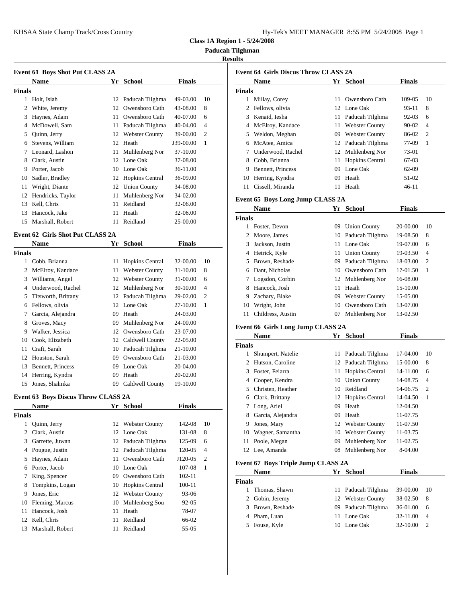| Iy-Tek's MEET MANAGER 8:55 PM 5/24/2008 Page 1 |  |  |  |
|------------------------------------------------|--|--|--|
|------------------------------------------------|--|--|--|

**Class 1A Region 1 - 5/24/2008**

**Paducah Tilghman**

## **Results**

|                | <b>Event 61 Boys Shot Put CLASS 2A</b><br>Name | Yr | School                 | <b>Finals</b> |    | Event 64 G     | Nam             |
|----------------|------------------------------------------------|----|------------------------|---------------|----|----------------|-----------------|
| <b>Finals</b>  |                                                |    |                        |               |    | <b>Finals</b>  |                 |
|                | 1 Holt, Isiah                                  |    | 12 Paducah Tilghma     | 49-03.00      | 10 |                | 1 Milla         |
| 2              | White, Jeremy                                  |    | 12 Owensboro Cath      | 43-08.00      | 8  | 2              | Felloy          |
| 3              | Haynes, Adam                                   |    | 11 Owensboro Cath      | 40-07.00      | 6  | 3              | Kenai           |
| 4              | McDowell, Sam                                  | 11 | Paducah Tilghma        | 40-04.00      | 4  | 4              | McEl            |
| 5              | Quinn, Jerry                                   |    | 12 Webster County      | 39-00.00      | 2  | 5              | Weld            |
| 6              | Stevens, William                               |    | 12 Heath               | J39-00.00     | 1  | 6              | McAt            |
|                | 7 Leonard, Lashon                              |    | 11 Muhlenberg Nor      | 37-10.00      |    | 7              | Under           |
| 8              | Clark, Austin                                  |    | 12 Lone Oak            | 37-08.00      |    | 8              | Cobb.           |
| 9              | Porter, Jacob                                  |    | 10 Lone Oak            | 36-11.00      |    | 9              | Benne           |
| 10             | Sadler, Bradley                                |    | 12 Hopkins Central     | 36-09.00      |    | 10             | Herri           |
| 11             | Wright, Diante                                 |    | 12 Union County        | 34-08.00      |    | 11             | Cissel          |
|                | 12 Hendricks, Taylor                           | 11 | Muhlenberg Nor         | 34-02.00      |    |                |                 |
| 13             | Kell, Chris                                    | 11 | Reidland               | 32-06.00      |    | Event 65 B     |                 |
| 13             | Hancock, Jake                                  | 11 | Heath                  | 32-06.00      |    |                | Nam             |
| 15             | Marshall, Robert                               | 11 | Reidland               | 25-00.00      |    | <b>Finals</b>  |                 |
|                |                                                |    |                        |               |    |                | 1 Foster        |
|                | <b>Event 62 Girls Shot Put CLASS 2A</b>        |    |                        |               |    | 2              | Moor            |
|                | Name                                           | Yr | <b>School</b>          | <b>Finals</b> |    | 3              | <b>Jacks</b>    |
| <b>Finals</b>  |                                                |    |                        |               |    | 4              | Hetric          |
|                | 1 Cobb, Brianna                                |    | 11 Hopkins Central     | 32-00.00      | 10 | 5              | <b>Brow</b>     |
|                | 2 McElroy, Kandace                             |    | 11 Webster County      | 31-10.00      | 8  | 6              | Dant,           |
|                | 3 Williams, Angel                              |    | 12 Webster County      | 31-00.00      | 6  | 7              | Logso           |
|                | 4 Underwood, Rachel                            |    | 12 Muhlenberg Nor      | 30-10.00      | 4  | 8              | Hanco           |
| 5              | Titsworth, Brittany                            |    | 12 Paducah Tilghma     | 29-02.00      | 2  | 9              | Zacha           |
| 6              | Fellows, olivia                                |    | 12 Lone Oak            | 27-10.00      | 1  | 10             | Wrigh           |
| 7              | Garcia, Alejandra                              |    | 09 Heath               | 24-03.00      |    | 11             | Child           |
| 8              | Groves, Macy                                   | 09 | Muhlenberg Nor         | 24-00.00      |    | Event 66 G     |                 |
| 9              | Walker, Jessica                                |    | 12 Owensboro Cath      | 23-07.00      |    |                | Nam             |
| 10             | Cook, Elizabeth                                |    | 12 Caldwell County     | 22-05.00      |    | <b>Finals</b>  |                 |
| 11             | Craft, Sarah                                   |    | 10 Paducah Tilghma     | 21-10.00      |    | 1              | Shum            |
| 12             | Houston, Sarah                                 |    | 09 Owensboro Cath      | 21-03.00      |    | $\overline{c}$ | Hutso           |
| 13             | Bennett, Princess                              |    | 09 Lone Oak            | 20-04.00      |    | 3              | Foster          |
|                | 14 Herring, Kyndra                             |    | 09 Heath               | 20-02.00      |    | 4              | Coop            |
| 15             | Jones, Shalmka                                 |    | 09 Caldwell County     | 19-10.00      |    | 5              | Christ          |
|                | Event 63 Boys Discus Throw CLASS 2A            |    |                        |               |    | 6              | Clark           |
|                | <b>Name</b>                                    |    | Yr School              | <b>Finals</b> |    |                | 7 Long,         |
| <b>Finals</b>  |                                                |    |                        |               |    | 8              | Garci           |
|                | 1 Quinn, Jerry                                 |    | 12 Webster County      | 142-08        | 10 | 9              | Jones           |
| $\overline{2}$ | Clark, Austin                                  |    | 12 Lone Oak            | 131-08        | 8  | 10             | Wagn            |
| 3              | Garrette, Juwan                                |    | 12 Paducah Tilghma     | 125-09        | 6  | 11             | Poole           |
| 4              | Pougue, Justin                                 |    | 12 Paducah Tilghma     | 120-05        | 4  | 12             | Lee, $\ell$     |
| 5              | Haynes, Adam                                   |    | 11 Owensboro Cath      | J120-05       | 2  |                |                 |
| 6              | Porter, Jacob                                  | 10 | Lone Oak               | 107-08        | 1  | Event 67 B     |                 |
| 7              | King, Spencer                                  | 09 | Owensboro Cath         | $102 - 11$    |    |                | Nam             |
| 8              | Tompkins, Logan                                | 10 | <b>Hopkins Central</b> | 100-11        |    | <b>Finals</b>  |                 |
| 9              | Jones, Eric                                    |    | 12 Webster County      | 93-06         |    | 1              | Thom            |
| 10             | Fleming, Marcus                                | 10 | Muhlenberg Sou         | 92-05         |    | $\overline{2}$ | Gobir           |
|                | Hancock, Josh                                  |    | 11 Heath               | 78-07         |    | 3              | <b>Brow</b>     |
| 11             |                                                |    |                        |               |    |                |                 |
|                | 12 Kell, Chris                                 | 11 | Reidland               | 66-02         |    |                | 4 Pham<br>Fouse |

|               | <b>Name</b>                        |    | Yr School              | <b>Finals</b> |                |
|---------------|------------------------------------|----|------------------------|---------------|----------------|
| <b>Finals</b> |                                    |    |                        |               |                |
|               | 1 Millay, Corey                    | 11 | Owensboro Cath         | 109-05        | 10             |
|               | 2 Fellows, olivia                  |    | 12 Lone Oak            | 93-11         | 8              |
|               | 3 Kenaid, Iesha                    |    | 11 Paducah Tilghma     | 92-03         | 6              |
|               | 4 McElroy, Kandace                 |    | 11 Webster County      | 90-02         | $\overline{4}$ |
|               | 5 Weldon, Meghan                   |    | 09 Webster County      | 86-02         | 2              |
| 6             | McAtee, Amica                      |    | 12 Paducah Tilghma     | 77-09         | $\mathbf{1}$   |
|               | 7 Underwood, Rachel                |    | 12 Muhlenberg Nor      | 73-01         |                |
| 8             | Cobb, Brianna                      |    | 11 Hopkins Central     | 67-03         |                |
| 9             | <b>Bennett, Princess</b>           |    | 09 Lone Oak            | $62-09$       |                |
| 10            | Herring, Kyndra                    |    | 09 Heath               | 51-02         |                |
| 11            | Cissell, Miranda                   |    | 11 Heath               | 46-11         |                |
|               |                                    |    |                        |               |                |
|               | Event 65 Boys Long Jump CLASS 2A   |    |                        |               |                |
|               | <b>Name</b>                        |    | Yr School              | Finals        |                |
| <b>Finals</b> |                                    |    |                        |               |                |
|               | 1 Foster, Devon                    |    | 09 Union County        | 20-00.00      | 10             |
|               | 2 Moore, James                     |    | 10 Paducah Tilghma     | 19-08.50      | 8              |
|               | 3 Jackson, Justin                  |    | 11 Lone Oak            | 19-07.00      | 6              |
|               | 4 Hetrick, Kyle                    |    | 11 Union County        | 19-03.50      | $\overline{4}$ |
| 5             | Brown, Reshade                     |    | 09 Paducah Tilghma     | 18-03.00      | $\overline{2}$ |
| 6             | Dant, Nicholas                     |    | 10 Owensboro Cath      | 17-01.50      | 1              |
|               | 7 Logsdon, Corbin                  |    | 12 Muhlenberg Nor      | 16-08.00      |                |
| 8             | Hancock, Josh                      |    | 11 Heath               | 15-10.00      |                |
| 9             | Zachary, Blake                     |    | 09 Webster County      | 15-05.00      |                |
| 10            | Wright, John                       |    | 10 Owensboro Cath      | 13-07.00      |                |
| 11            | Childress, Austin                  |    | 07 Muhlenberg Nor      | 13-02.50      |                |
|               | Event 66 Girls Long Jump CLASS 2A  |    |                        |               |                |
|               | <b>Name</b>                        |    | Yr School              | <b>Finals</b> |                |
| <b>Finals</b> |                                    |    |                        |               |                |
| 1             | Shumpert, Natelie                  |    | 11 Paducah Tilghma     | 17-04.00      | 10             |
|               | 2 Hutson, Caroline                 |    | 12 Paducah Tilghma     | 15-00.00      | 8              |
| 3             | Foster, Feiarra                    | 11 | <b>Hopkins Central</b> | 14-11.00      | 6              |
|               | 4 Cooper, Kendra                   |    | 10 Union County        | 14-08.75      | $\overline{4}$ |
|               | 5 Christen, Heather                | 10 | Reidland               | 14-06.75      | 2              |
| 6             | Clark, Brittany                    | 12 | Hopkins Central        | 14-04.50      | 1              |
| 7             | Long, Ariel                        | 09 | Heath                  | 12-04.50      |                |
|               | Garcia, Alejandra                  |    | 09 Heath               | 11-07.75      |                |
|               |                                    |    |                        |               |                |
| 8             |                                    |    |                        |               |                |
| 9             | Jones, Mary                        | 12 | <b>Webster County</b>  | 11-07.50      |                |
| 10            | Wagner, Samantha                   | 10 | <b>Webster County</b>  | 11-03.75      |                |
| 11            | Poole, Megan                       | 09 | Muhlenberg Nor         | 11-02.75      |                |
|               | 12 Lee, Amanda                     | 08 | Muhlenberg Nor         | 8-04.00       |                |
|               | Event 67 Boys Triple Jump CLASS 2A |    |                        |               |                |
|               | Name                               |    | Yr School              | <b>Finals</b> |                |
| <b>Finals</b> |                                    |    |                        |               |                |
| 1             | Thomas, Shawn                      | 11 | Paducah Tilghma        | 39-00.00      | 10             |
| 2             | Gobin, Jeremy                      |    | 12 Webster County      | 38-02.50      | 8              |
| 3             | Brown, Reshade                     | 09 | Paducah Tilghma        | 36-01.00      | 6              |
| 4             | Pham, Luan                         |    | 11 Lone Oak            | 32-11.00      | 4              |